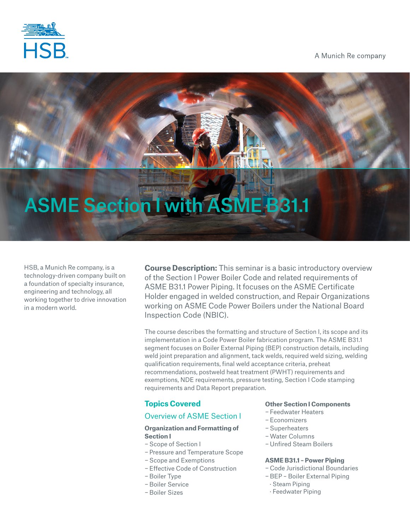

A Munich Re company

# ASME Section I with ASME B31.1

HSB, a Munich Re company, is a technology-driven company built on a foundation of specialty insurance, engineering and technology, all working together to drive innovation in a modern world.

**Course Description:** This seminar is a basic introductory overview of the Section I Power Boiler Code and related requirements of ASME B31.1 Power Piping. It focuses on the ASME Certificate Holder engaged in welded construction, and Repair Organizations working on ASME Code Power Boilers under the National Board Inspection Code (NBIC).

The course describes the formatting and structure of Section I, its scope and its implementation in a Code Power Boiler fabrication program. The ASME B31.1 segment focuses on Boiler External Piping (BEP) construction details, including weld joint preparation and alignment, tack welds, required weld sizing, welding qualification requirements, final weld acceptance criteria, preheat recommendations, postweld heat treatment (PWHT) requirements and exemptions, NDE requirements, pressure testing, Section I Code stamping requirements and Data Report preparation.

# **Topics Covered**

# Overview of ASME Section I

# **Organization and Formatting of Section I**

- − Scope of Section I
- − Pressure and Temperature Scope
- − Scope and Exemptions
- − Effective Code of Construction
- − Boiler Type
- − Boiler Service
- − Boiler Sizes

# **Other Section I Components**

- − Feedwater Heaters
- − Economizers
- − Superheaters
- −Water Columns
- − Unfired Steam Boilers

# **ASME B31.1 – Power Piping**

- − Code Jurisdictional Boundaries
- − BEP Boiler External Piping
- · Steam Piping
- · Feedwater Piping